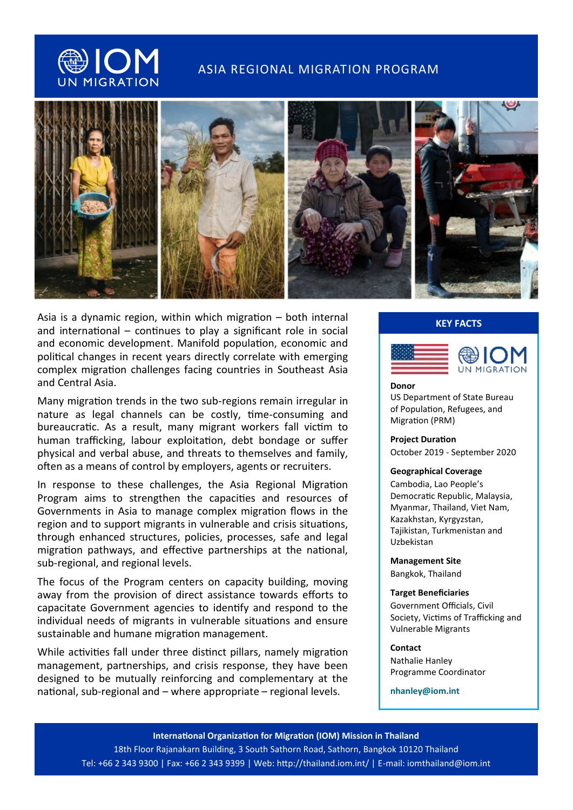

# ASIA REGIONAL MIGRATION PROGRAM



Asia is a dynamic region, within which migration – both internal and international – continues to play a significant role in social and economic development. Manifold population, economic and political changes in recent years directly correlate with emerging complex migration challenges facing countries in Southeast Asia and Central Asia.

Many migration trends in the two sub-regions remain irregular in nature as legal channels can be costly, time-consuming and bureaucratic. As a result, many migrant workers fall victim to human trafficking, labour exploitation, debt bondage or suffer physical and verbal abuse, and threats to themselves and family, often as a means of control by employers, agents or recruiters.

In response to these challenges, the Asia Regional Migration Program aims to strengthen the capacities and resources of Governments in Asia to manage complex migration flows in the region and to support migrants in vulnerable and crisis situations, through enhanced structures, policies, processes, safe and legal migration pathways, and effective partnerships at the national, sub-regional, and regional levels.

The focus of the Program centers on capacity building, moving away from the provision of direct assistance towards efforts to capacitate Government agencies to identify and respond to the individual needs of migrants in vulnerable situations and ensure sustainable and humane migration management.

While activities fall under three distinct pillars, namely migration management, partnerships, and crisis response, they have been designed to be mutually reinforcing and complementary at the national, sub-regional and – where appropriate – regional levels.

# **KEY FACTS**



#### **Donor**

US Department of State Bureau of Population, Refugees, and Migration (PRM)

### **Project Duration**

October 2019 - September 2020

#### **Geographical Coverage**

Cambodia, Lao People's Democratic Republic, Malaysia, Myanmar, Thailand, Viet Nam, Kazakhstan, Kyrgyzstan, Tajikistan, Turkmenistan and Uzbekistan

**Management Site** Bangkok, Thailand

### **Target Beneficiaries**

Government Officials, Civil Society, Victims of Trafficking and Vulnerable Migrants

### **Contact**

Nathalie Hanley Programme Coordinator

**nhanley@iom.int**